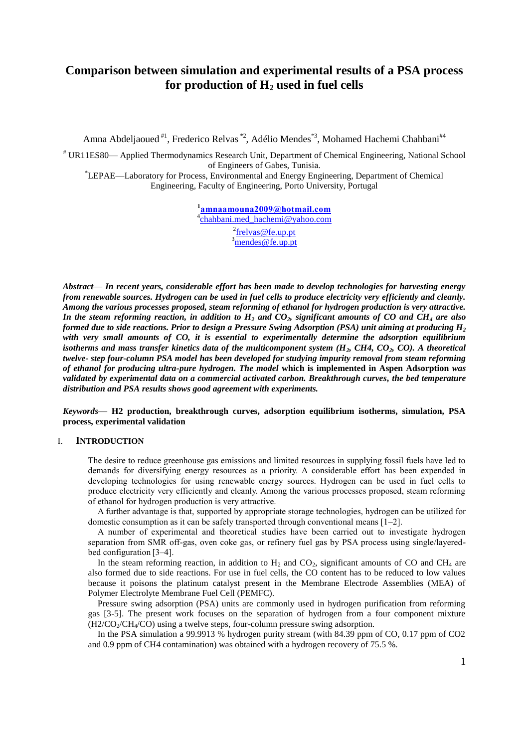# **Comparison between simulation and experimental results of a PSA process for production of H<sup>2</sup> used in fuel cells**

Amna Abdeljaoued<sup>#1</sup>, Frederico Relvas<sup>\*2</sup>, Adélio Mendes<sup>\*3</sup>, Mohamed Hachemi Chahbani<sup>#4</sup>

# UR11ES80— Applied Thermodynamics Research Unit, Department of Chemical Engineering, National School of Engineers of Gabes, Tunisia.

\*LEPAE—Laboratory for Process, Environmental and Energy Engineering, Department of Chemical Engineering, Faculty of Engineering, Porto University, Portugal

> **1 [amnaamouna2009@hotmail.com](mailto:amnaamouna2009@hotmail.com)** <sup>4</sup>[chahbani.med\\_hachemi@yahoo.com](mailto:chahbani.med_hachemi@yahoo.com) <sup>2</sup>[frelvas@fe.up.pt](mailto:frelvas@fe.up.pt)  $\frac{3}{\text{mendes@fe.up.pt}}$  $\frac{3}{\text{mendes@fe.up.pt}}$  $\frac{3}{\text{mendes@fe.up.pt}}$

*Abstract*— *In recent years, considerable effort has been made to develop technologies for harvesting energy from renewable sources. Hydrogen can be used in fuel cells to produce electricity very efficiently and cleanly. Among the various processes proposed, steam reforming of ethanol for hydrogen production is very attractive. In the steam reforming reaction, in addition to H<sup>2</sup> and CO2, significant amounts of CO and CH<sup>4</sup> are also formed due to side reactions. Prior to design a Pressure Swing Adsorption (PSA) unit aiming at producing H<sup>2</sup> with very small amounts of CO, it is essential to experimentally determine the adsorption equilibrium isotherms and mass transfer kinetics data of the multicomponent system (H2, CH4, CO2, CO). A theoretical twelve- step four-column PSA model has been developed for studying impurity removal from steam reforming of ethanol for producing ultra-pure hydrogen. The model* **which is implemented in Aspen Adsorption** *was validated by experimental data on a commercial activated carbon. Breakthrough curves, the bed temperature distribution and PSA results shows good agreement with experiments.*

*Keywords*— **H2 production, breakthrough curves, adsorption equilibrium isotherms, simulation, PSA process, experimental validation**

### I. **INTRODUCTION**

The desire to reduce greenhouse gas emissions and limited resources in supplying fossil fuels have led to demands for diversifying energy resources as a priority. A considerable effort has been expended in developing technologies for using renewable energy sources. Hydrogen can be used in fuel cells to produce electricity very efficiently and cleanly. Among the various processes proposed, steam reforming of ethanol for hydrogen production is very attractive.

A further advantage is that, supported by appropriate storage technologies, hydrogen can be utilized for domestic consumption as it can be safely transported through conventional means [1–2].

A number of experimental and theoretical studies have been carried out to investigate hydrogen separation from SMR off-gas, oven coke gas, or refinery fuel gas by PSA process using single/layeredbed configuration [3–4].

In the steam reforming reaction, in addition to  $H_2$  and  $CO_2$ , significant amounts of CO and CH<sub>4</sub> are also formed due to side reactions. For use in fuel cells, the CO content has to be reduced to low values because it poisons the platinum catalyst present in the Membrane Electrode Assemblies (MEA) of Polymer Electrolyte Membrane Fuel Cell (PEMFC).

Pressure swing adsorption (PSA) units are commonly used in hydrogen purification from reforming gas [3-5]. The present work focuses on the separation of hydrogen from a four component mixture  $(H2/CO<sub>2</sub>/CH<sub>4</sub>/CO)$  using a twelve steps, four-column pressure swing adsorption.

In the PSA simulation a 99.9913 % hydrogen purity stream (with 84.39 ppm of CO, 0.17 ppm of CO2 and 0.9 ppm of CH4 contamination) was obtained with a hydrogen recovery of 75.5 %.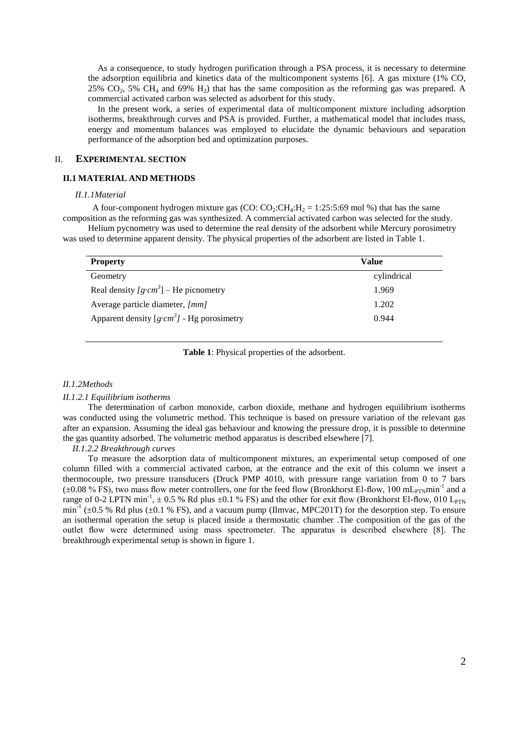As a consequence, to study hydrogen purification through a PSA process, it is necessary to determine the adsorption equilibria and kinetics data of the multicomponent systems [6]. A gas mixture (1% CO, 25%  $CO<sub>2</sub>$ , 5%  $CH<sub>4</sub>$  and 69%  $H<sub>2</sub>$ ) that has the same composition as the reforming gas was prepared. A commercial activated carbon was selected as adsorbent for this study.

In the present work, a series of experimental data of multicomponent mixture including adsorption isotherms, breakthrough curves and PSA is provided. Further, a mathematical model that includes mass, energy and momentum balances was employed to elucidate the dynamic behaviours and separation performance of the adsorption bed and optimization purposes.

### II. **EXPERIMENTAL SECTION**

#### **II.1 MATERIAL AND METHODS**

#### *II.1.1Material*

A four-component hydrogen mixture gas (CO:  $CO_2$ : $CH_4$ : $H_2$  = 1:25:5:69 mol %) that has the same composition as the reforming gas was synthesized. A commercial activated carbon was selected for the study.

Helium pycnometry was used to determine the real density of the adsorbent while Mercury porosimetry was used to determine apparent density. The physical properties of the adsorbent are listed in Table 1.

| <b>Property</b>                                              | Value       |  |  |
|--------------------------------------------------------------|-------------|--|--|
| Geometry                                                     | cylindrical |  |  |
| Real density $\lceil g \cdot cm^3 \rceil$ – He picnometry    | 1.969       |  |  |
| Average particle diameter, [mm]                              | 1.202       |  |  |
| Apparent density $\left[g\cdot cm^3\right]$ - Hg porosimetry | 0.944       |  |  |

**Table 1**: Physical properties of the adsorbent.

### *II.1.2Methods*

### *II.1.2.1 Equilibrium isotherms*

The determination of carbon monoxide, carbon dioxide, methane and hydrogen equilibrium isotherms was conducted using the volumetric method. This technique is based on pressure variation of the relevant gas after an expansion. Assuming the ideal gas behaviour and knowing the pressure drop, it is possible to determine the gas quantity adsorbed. The volumetric method apparatus is described elsewhere [7].

#### *II.1.2.2 Breakthrough curves*

To measure the adsorption data of multicomponent mixtures, an experimental setup composed of one column filled with a commercial activated carbon, at the entrance and the exit of this column we insert a thermocouple, two pressure transducers (Druck PMP 4010, with pressure range variation from 0 to 7 bars  $(\pm 0.08\%$  FS), two mass flow meter controllers, one for the feed flow (Bronkhorst El-flow, 100 mL<sub>PTN</sub>min<sup>-1</sup> and a range of 0-2 LPTN min<sup>-1</sup>,  $\pm$  0.5 % Rd plus  $\pm$ 0.1 % FS) and the other for exit flow (Bronkhorst El-flow, 010 L<sub>PTN</sub>  $min^{-1}$  ( $\pm 0.5$  % Rd plus ( $\pm 0.1$  % FS), and a vacuum pump (Ilmvac, MPC201T) for the desorption step. To ensure an isothermal operation the setup is placed inside a thermostatic chamber .The composition of the gas of the outlet flow were determined using mass spectrometer. The apparatus is described elsewhere [8]. The breakthrough experimental setup is shown in figure 1.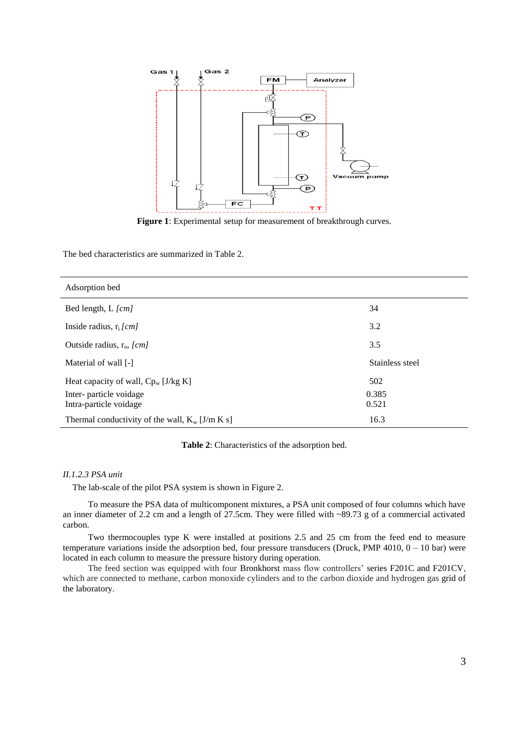

**Figure 1**: Experimental setup for measurement of breakthrough curves.

The bed characteristics are summarized in Table 2.

| Adsorption bed                                    |                 |
|---------------------------------------------------|-----------------|
| Bed length, L [cm]                                | 34              |
| Inside radius, $r_i$ [cm]                         | 3.2             |
| Outside radius, $r_0$ , [cm]                      | 3.5             |
| Material of wall [-]                              | Stainless steel |
| Heat capacity of wall, $C_{p_w}$ [J/kg K]         | 502             |
| Inter-particle voidage<br>Intra-particle voidage  | 0.385<br>0.521  |
| Thermal conductivity of the wall, $K_w$ [J/m K s] | 16.3            |

**Table 2**: Characteristics of the adsorption bed.

### *II.1.2.3 PSA unit*

The lab-scale of the pilot PSA system is shown in Figure 2.

To measure the PSA data of multicomponent mixtures, a PSA unit composed of four columns which have an inner diameter of 2.2 cm and a length of 27.5cm. They were filled with ~89.73 g of a commercial activated carbon.

Two thermocouples type K were installed at positions 2.5 and 25 cm from the feed end to measure temperature variations inside the adsorption bed, four pressure transducers (Druck, PMP  $4010$ ,  $0 - 10$  bar) were located in each column to measure the pressure history during operation.

The feed section was equipped with four Bronkhorst mass flow controllers' series F201C and F201CV, which are connected to methane, carbon monoxide cylinders and to the carbon dioxide and hydrogen gas grid of the laboratory.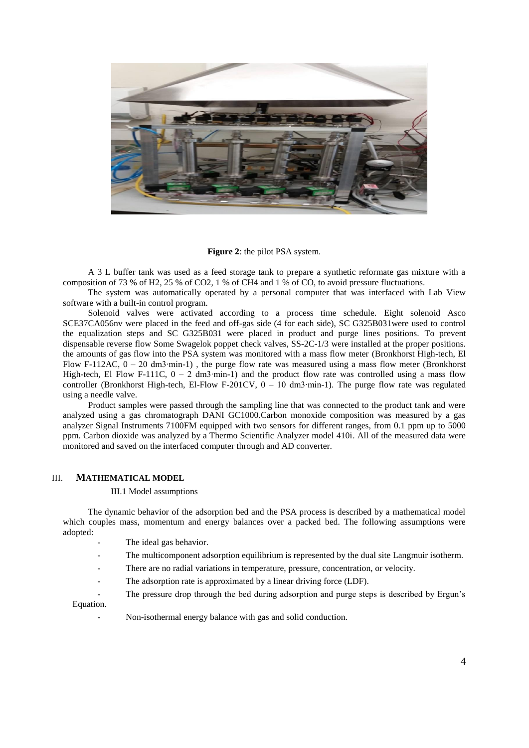

**Figure 2**: the pilot PSA system.

A 3 L buffer tank was used as a feed storage tank to prepare a synthetic reformate gas mixture with a composition of 73 % of H2, 25 % of CO2, 1 % of CH4 and 1 % of CO, to avoid pressure fluctuations.

The system was automatically operated by a personal computer that was interfaced with Lab View software with a built-in control program.

Solenoid valves were activated according to a process time schedule. Eight solenoid Asco SCE37CA056nv were placed in the feed and off-gas side (4 for each side), SC G325B031were used to control the equalization steps and SC G325B031 were placed in product and purge lines positions. To prevent dispensable reverse flow Some Swagelok poppet check valves, SS-2C-1/3 were installed at the proper positions. the amounts of gas flow into the PSA system was monitored with a mass flow meter (Bronkhorst High-tech, El Flow F-112AC, 0 – 20 dm3∙min-1) , the purge flow rate was measured using a mass flow meter (Bronkhorst High-tech, El Flow F-111C, 0 – 2 dm3∙min-1) and the product flow rate was controlled using a mass flow controller (Bronkhorst High-tech, El-Flow F-201CV, 0 – 10 dm3∙min-1). The purge flow rate was regulated using a needle valve.

Product samples were passed through the sampling line that was connected to the product tank and were analyzed using a gas chromatograph DANI GC1000.Carbon monoxide composition was measured by a gas analyzer Signal Instruments 7100FM equipped with two sensors for different ranges, from 0.1 ppm up to 5000 ppm. Carbon dioxide was analyzed by a Thermo Scientific Analyzer model 410i. All of the measured data were monitored and saved on the interfaced computer through and AD converter.

### III. **MATHEMATICAL MODEL**

### III.1 Model assumptions

The dynamic behavior of the adsorption bed and the PSA process is described by a mathematical model which couples mass, momentum and energy balances over a packed bed. The following assumptions were adopted:

- The ideal gas behavior.
- The multicomponent adsorption equilibrium is represented by the dual site Langmuir isotherm.
- There are no radial variations in temperature, pressure, concentration, or velocity.
- The adsorption rate is approximated by a linear driving force (LDF).
- The pressure drop through the bed during adsorption and purge steps is described by Ergun's Equation.

Non-isothermal energy balance with gas and solid conduction.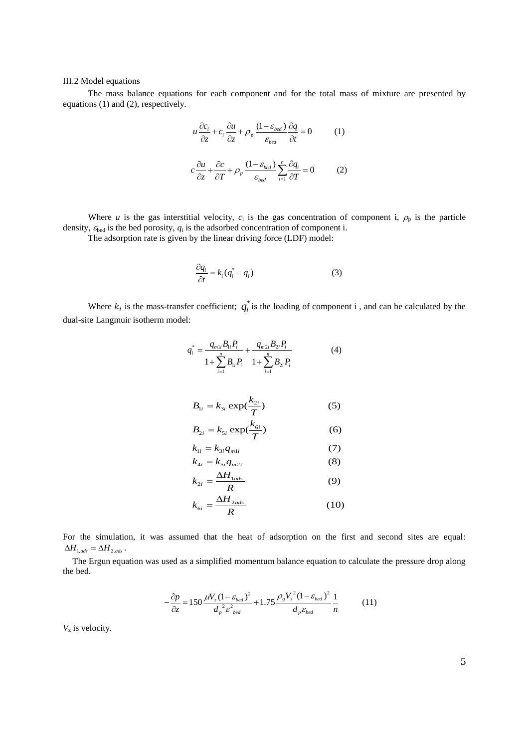### III.2 Model equations

The mass balance equations for each component and for the total mass of mixture are presented by equations (1) and (2), respectively.

$$
u\frac{\partial c_i}{\partial z} + c_i \frac{\partial u}{\partial z} + \rho_p \frac{(1 - \varepsilon_{bed})}{\varepsilon_{bed}} \frac{\partial q}{\partial t} = 0 \qquad (1)
$$

$$
c\frac{\partial u}{\partial z} + \frac{\partial c}{\partial T} + \rho_p \frac{(1 - \varepsilon_{bed})}{\varepsilon_{bed}} \sum_{i=1}^n \frac{\partial q_i}{\partial T} = 0 \qquad (2)
$$

Where *u* is the gas interstitial velocity,  $c_i$  is the gas concentration of component i,  $\rho_p$  is the particle density,  $\varepsilon_{\text{bed}}$  is the bed porosity,  $q_i$  is the adsorbed concentration of component i.

The adsorption rate is given by the linear driving force (LDF) model:

$$
\frac{\partial q_i}{\partial t} = k_i (q_i^* - q_i)
$$
 (3)

Where  $k_i$  is the mass-transfer coefficient;  $q_i^*$  $q_i^*$  is the loading of component i, and can be calculated by the dual-site Langmuir isotherm model:

$$
q_i^* = \frac{q_{m1i}B_{1i}P_i}{1 + \sum_{i=1}^n B_{1i}P_i} + \frac{q_{m2i}B_{2i}P_i}{1 + \sum_{i=1}^n B_{2i}P_i}
$$
(4)

$$
B_{1i} = k_{3i} \exp(\frac{k_{2i}}{T})
$$
 (5)

$$
B_{2i} = k_{5i} \exp(\frac{k_{6i}}{T})
$$
 (6)

$$
k_{1i} = k_{3i} q_{m1i} \tag{7}
$$
  
\n
$$
k_{4i} = k_{5i} q_{m2i} \tag{8}
$$

$$
k_{2i} = \frac{\Delta H_{1ads}}{R} \tag{9}
$$

$$
k_{\rm 6i} = \frac{\Delta H_{2ads}}{R} \tag{10}
$$

For the simulation, it was assumed that the heat of adsorption on the first and second sites are equal:  $\Delta H_{1,ads} = \Delta H_{2,ads}$ .

The Ergun equation was used as a simplified momentum balance equation to calculate the pressure drop along the bed.

$$
-\frac{\partial p}{\partial z} = 150 \frac{\mu V_z (1 - \varepsilon_{bed})^2}{d_p^2 \varepsilon_{bed}^2} + 1.75 \frac{\rho_g V_z^2 (1 - \varepsilon_{bed})^2}{d_p \varepsilon_{bed}} \frac{1}{n}
$$
 (11)

*V*z is velocity.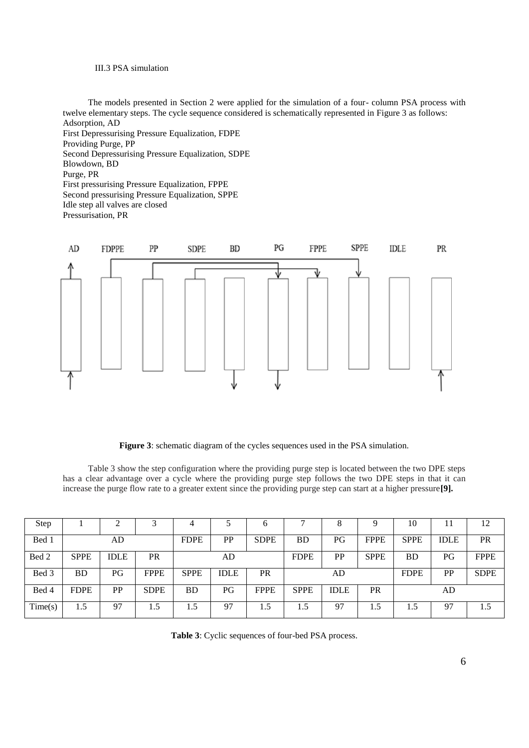### III.3 PSA simulation

The models presented in Section 2 were applied for the simulation of a four- column PSA process with twelve elementary steps. The cycle sequence considered is schematically represented in Figure 3 as follows: Adsorption, AD First Depressurising Pressure Equalization, FDPE Providing Purge, PP Second Depressurising Pressure Equalization, SDPE Blowdown, BD Purge, PR First pressurising Pressure Equalization, FPPE Second pressurising Pressure Equalization, SPPE Idle step all valves are closed Pressurisation, PR



**Figure 3**: schematic diagram of the cycles sequences used in the PSA simulation.

Table 3 show the step configuration where the providing purge step is located between the two DPE steps has a clear advantage over a cycle where the providing purge step follows the two DPE steps in that it can increase the purge flow rate to a greater extent since the providing purge step can start at a higher pressure**[9].**

| Step    |             | ⌒           | ⌒           |             |             | 6           | −           | 8           |             | 10          | 11          | 12          |
|---------|-------------|-------------|-------------|-------------|-------------|-------------|-------------|-------------|-------------|-------------|-------------|-------------|
| Bed 1   |             | AD          |             | <b>FDPE</b> | <b>PP</b>   | <b>SDPE</b> | <b>BD</b>   | PG          | <b>FPPE</b> | <b>SPPE</b> | <b>IDLE</b> | <b>PR</b>   |
| Bed 2   | <b>SPPE</b> | <b>IDLE</b> | <b>PR</b>   |             | AD          |             | <b>FDPE</b> | PP          | <b>SPPE</b> | BD          | PG          | <b>FPPE</b> |
| Bed 3   | <b>BD</b>   | PG          | <b>FPPE</b> | <b>SPPE</b> | <b>IDLE</b> | <b>PR</b>   |             | AD          |             | <b>FDPE</b> | PP          | <b>SDPE</b> |
| Bed 4   | <b>FDPE</b> | PP          | <b>SDPE</b> | <b>BD</b>   | PG          | <b>FPPE</b> | <b>SPPE</b> | <b>IDLE</b> | <b>PR</b>   |             | AD          |             |
| Time(s) | 1.5         | 97          | 1.5         | 1.5         | 97          | 1.5         | 1.5         | 97          | 1.5         |             | 97          | 1.5         |

**Table 3**: Cyclic sequences of four-bed PSA process.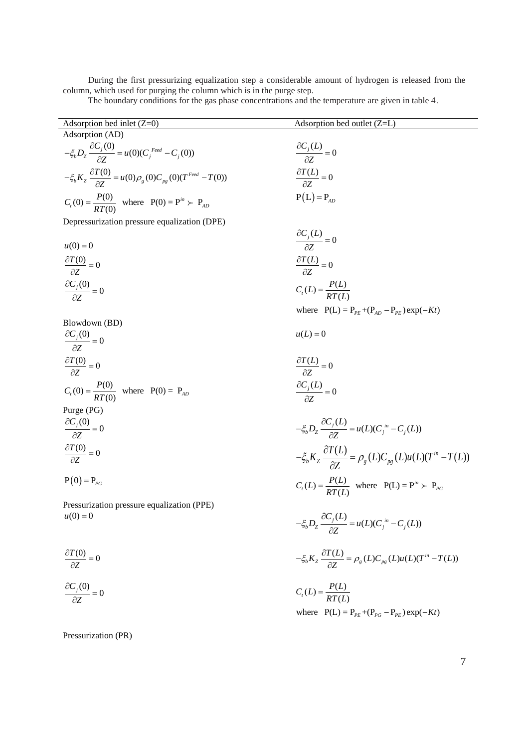During the first pressurizing equalization step a considerable amount of hydrogen is released from the column, which used for purging the column which is in the purge step.

The boundary conditions for the gas phase concentrations and the temperature are given in table 4.

| Adsorption bed inlet $(Z=0)$                                                            | Adsorption bed outlet (Z=L)                                                                       |
|-----------------------------------------------------------------------------------------|---------------------------------------------------------------------------------------------------|
| Adsorption (AD)                                                                         |                                                                                                   |
|                                                                                         |                                                                                                   |
| $-\xi_b D_z \frac{\partial C_j(0)}{\partial z} = u(0)(C_j^{feed} - C_j(0))$             | $\frac{\partial C_j(L)}{\partial z} = 0$                                                          |
| $-\xi_b K_z \frac{\partial T(0)}{\partial z} = u(0)\rho_g(0)C_{pg}(0)(T^{feed} - T(0))$ | $\frac{\partial T(L)}{\partial Z} = 0$                                                            |
| $C_r(0) = \frac{P(0)}{RT(0)}$ where $P(0) = P^{in} > P_{AD}$                            | $P(L) = P_{AD}$                                                                                   |
| Depressurization pressure equalization (DPE)                                            |                                                                                                   |
|                                                                                         |                                                                                                   |
| $u(0) = 0$                                                                              | $\frac{\partial C_j(L)}{\partial z} = 0$                                                          |
| $\frac{\partial T(0)}{\partial z} = 0$                                                  | $\frac{\partial T(L)}{\partial z} = 0$                                                            |
|                                                                                         |                                                                                                   |
| $\frac{\partial C_j(0)}{\partial z} = 0$                                                | $C_{t}(L) = \frac{P(L)}{RT(I)}$                                                                   |
|                                                                                         | where $P(L) = P_{pE} + (P_{AD} - P_{pE}) \exp(-Kt)$                                               |
| Blowdown (BD)                                                                           |                                                                                                   |
| $\frac{\partial C_j(0)}{\partial z} = 0$                                                | $u(L) = 0$                                                                                        |
| $\frac{\partial T(0)}{\partial z} = 0$                                                  | $\frac{\partial T(L)}{\partial z} = 0$                                                            |
| $C_t(0) = \frac{P(0)}{RT(0)}$ where $P(0) = P_{AD}$                                     | $\frac{\partial C_j(L)}{\partial z} = 0$                                                          |
| Purge (PG)                                                                              |                                                                                                   |
| $\frac{\partial C_j(0)}{\partial z} = 0$                                                | $-\xi_b D_z \frac{\partial C_j(L)}{\partial z} = u(L)(C_j^{in} - C_j(L))$                         |
| $\frac{\partial T(0)}{\partial Z} = 0$                                                  | $-\xi_b K_z \frac{\partial T(L)}{\partial \mathbf{Z}} = \rho_g(L) C_{pg}(L) u(L) (T^{in} - T(L))$ |
|                                                                                         |                                                                                                   |
| $P(0) = P_{pc}$                                                                         | $C_t(L) = \frac{P(L)}{RT(L)}$ where $P(L) = P^{in} > P_{PG}$                                      |
| Pressurization pressure equalization (PPE)                                              |                                                                                                   |
| $u(0) = 0$                                                                              |                                                                                                   |
|                                                                                         | $-\xi_b D_z \frac{\partial C_j(L)}{\partial Z} = u(L)(C_j^{in} - C_j(L))$                         |
| $\frac{\partial T(0)}{\partial Z} = 0$                                                  | $-\xi_b K_z \frac{\partial T(L)}{\partial Z} = \rho_g(L) C_{pg}(L) u(L) (T^{in} - T(L))$          |
| $\frac{\partial C_j(0)}{\partial z} = 0$                                                | $C_{t}(L) = \frac{P(L)}{RT(L)}$                                                                   |
|                                                                                         | where $P(L) = P_{pF} + (P_{pG} - P_{pE}) \exp(-Kt)$                                               |
|                                                                                         |                                                                                                   |

Pressurization (PR)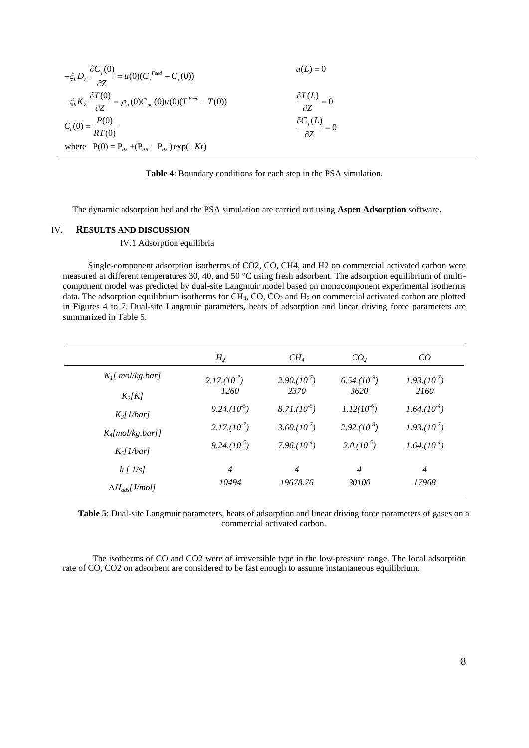$$
-\xi_b D_z \frac{\partial C_j(0)}{\partial Z} = u(0)(C_j^{feed} - C_j(0))
$$
  
\n
$$
-\xi_b K_z \frac{\partial T(0)}{\partial Z} = \rho_g(0)C_{pg}(0)u(0)(T^{feed} - T(0))
$$
  
\n
$$
C_t(0) = \frac{P(0)}{RT(0)}
$$
  
\nwhere  $P(0) = P_{PE} + (P_{PR} - P_{PE}) \exp(-Kt)$ 

**Table 4**: Boundary conditions for each step in the PSA simulation.

The dynamic adsorption bed and the PSA simulation are carried out using **Aspen Adsorption** software.

### IV. **RESULTS AND DISCUSSION**

#### IV.1 Adsorption equilibria

Single-component adsorption isotherms of CO2, CO, CH4, and H2 on commercial activated carbon were measured at different temperatures 30, 40, and 50 °C using fresh adsorbent. The adsorption equilibrium of multicomponent model was predicted by dual-site Langmuir model based on monocomponent experimental isotherms data. The adsorption equilibrium isotherms for  $CH_4$ , CO, CO<sub>2</sub> and  $H_2$  on commercial activated carbon are plotted in Figures 4 to 7. Dual-site Langmuir parameters, heats of adsorption and linear driving force parameters are summarized in Table 5.

|                          | H <sub>2</sub>   | $CH_4$           | CO <sub>2</sub>  | CO               |
|--------------------------|------------------|------------------|------------------|------------------|
| $K_l$ [ mol/kg.bar]      | $2.17.(10^{-7})$ | $2.90,(10^{-7})$ | $6.54.(10-9)$    | $1.93.(10^{-7})$ |
| $K_2[K]$                 | 1260             | 2370             | 3620             | 2160             |
| $K_3[1/bar]$             | $9.24.(10^{-5})$ | $8.71.(10^{-5})$ | $1.12(10^{6})$   | $1.64.(10^{-4})$ |
| $K_4$ [mol/kg.bar]]      | $2.17.(10^{-7})$ | $3.60,(10^{-7})$ | $2.92.(10^{-8})$ | $1.93.(10^{2})$  |
| $K_5[1/bar]$             | $9.24.(10^{-5})$ | $7.96.(10^{-4})$ | $2.0.(10^{5})$   | $1.64.(10^{-4})$ |
| $k$ [ $1/s$ ]            | $\overline{4}$   | $\overline{4}$   | $\overline{4}$   | $\overline{4}$   |
| $\Delta H_{ads}$ [J/mol] | 10494            | 19678.76         | 30100            | 17968            |

**Table 5**: Dual-site Langmuir parameters, heats of adsorption and linear driving force parameters of gases on a commercial activated carbon.

 The isotherms of CO and CO2 were of irreversible type in the low-pressure range. The local adsorption rate of CO, CO2 on adsorbent are considered to be fast enough to assume instantaneous equilibrium.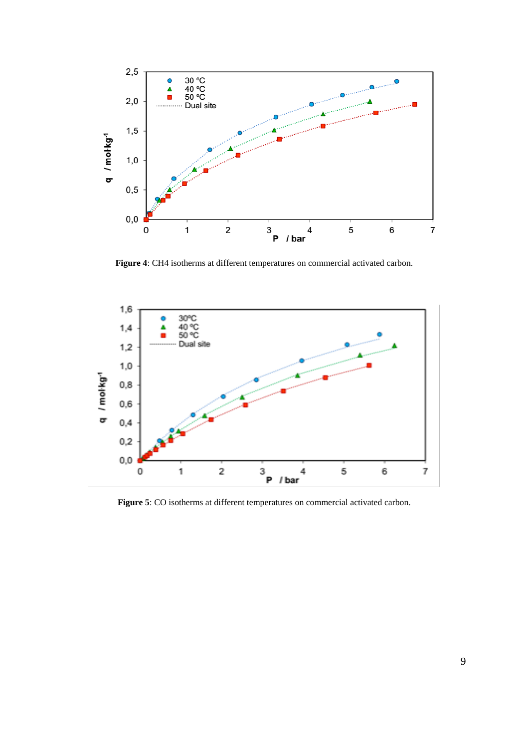

**Figure 4**: CH4 isotherms at different temperatures on commercial activated carbon.



**Figure 5**: CO isotherms at different temperatures on commercial activated carbon.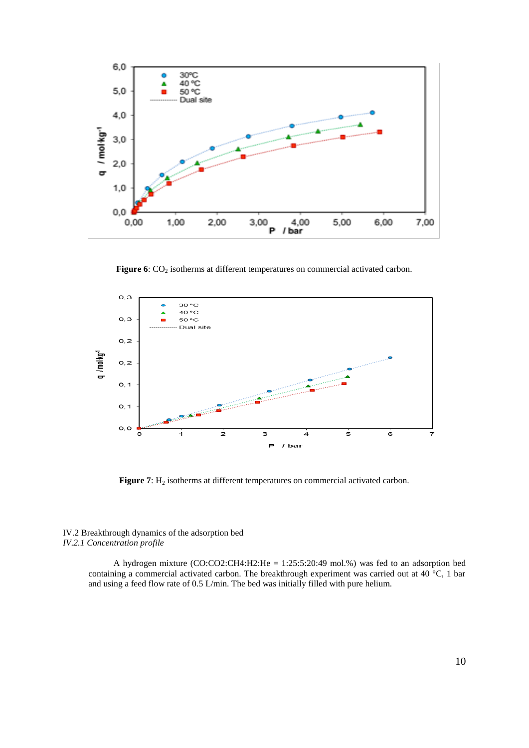

**Figure 6**: CO<sub>2</sub> isotherms at different temperatures on commercial activated carbon.



Figure 7: H<sub>2</sub> isotherms at different temperatures on commercial activated carbon.

### IV.2 Breakthrough dynamics of the adsorption bed *IV.2.1 Concentration profile*

A hydrogen mixture (CO:CO2:CH4:H2:He = 1:25:5:20:49 mol.%) was fed to an adsorption bed containing a commercial activated carbon. The breakthrough experiment was carried out at 40 °C, 1 bar and using a feed flow rate of 0.5 L/min. The bed was initially filled with pure helium.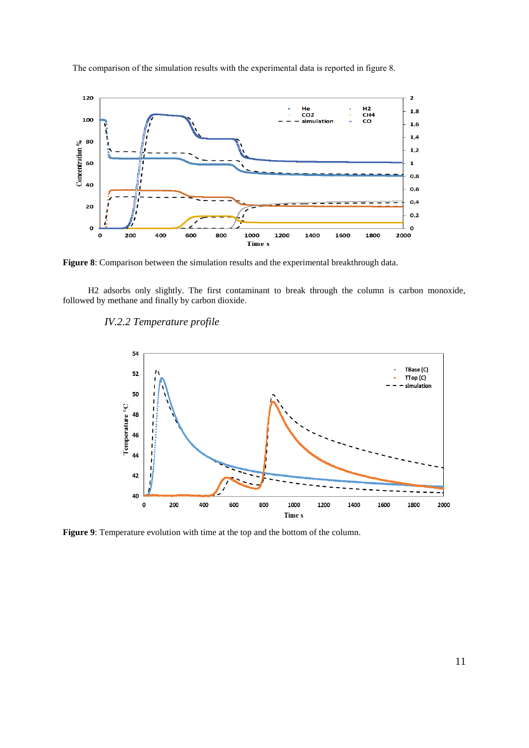

The comparison of the simulation results with the experimental data is reported in figure 8.

**Figure 8**: Comparison between the simulation results and the experimental breakthrough data.

H2 adsorbs only slightly. The first contaminant to break through the column is carbon monoxide, followed by methane and finally by carbon dioxide.

## *IV.2.2 Temperature profile*



**Figure 9**: Temperature evolution with time at the top and the bottom of the column.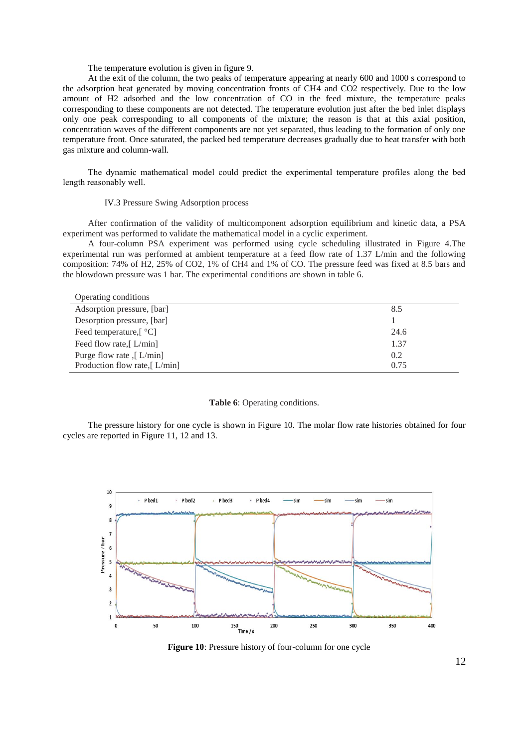### The temperature evolution is given in figure 9.

At the exit of the column, the two peaks of temperature appearing at nearly 600 and 1000 s correspond to the adsorption heat generated by moving concentration fronts of CH4 and CO2 respectively. Due to the low amount of H2 adsorbed and the low concentration of CO in the feed mixture, the temperature peaks corresponding to these components are not detected. The temperature evolution just after the bed inlet displays only one peak corresponding to all components of the mixture; the reason is that at this axial position, concentration waves of the different components are not yet separated, thus leading to the formation of only one temperature front. Once saturated, the packed bed temperature decreases gradually due to heat transfer with both gas mixture and column-wall.

The dynamic mathematical model could predict the experimental temperature profiles along the bed length reasonably well.

### IV.3 Pressure Swing Adsorption process

After confirmation of the validity of multicomponent adsorption equilibrium and kinetic data, a PSA experiment was performed to validate the mathematical model in a cyclic experiment.

A four-column PSA experiment was performed using cycle scheduling illustrated in Figure 4.The experimental run was performed at ambient temperature at a feed flow rate of 1.37 L/min and the following composition: 74% of H2, 25% of CO2, 1% of CH4 and 1% of CO. The pressure feed was fixed at 8.5 bars and the blowdown pressure was 1 bar. The experimental conditions are shown in table 6.

#### Operating conditions

| Adsorption pressure, [bar]                       | 8.5  |
|--------------------------------------------------|------|
| Desorption pressure, [bar]                       |      |
| Feed temperature, $\lceil \, {}^{\circ}C \rceil$ | 24.6 |
| Feed flow rate, $L/min$                          | 1.37 |
| Purge flow rate $\int$ L/min]                    | 0.2  |
| Production flow rate, $L/min$                    | 0.75 |

### **Table 6**: Operating conditions.

The pressure history for one cycle is shown in Figure 10. The molar flow rate histories obtained for four cycles are reported in Figure 11, 12 and 13.



**Figure 10**: Pressure history of four-column for one cycle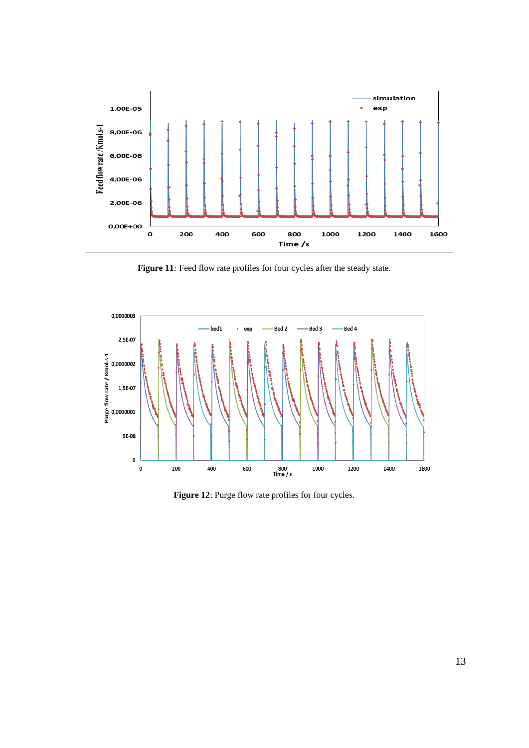

Figure 11*:* Feed flow rate profiles for four cycles after the steady state.



Figure 12: Purge flow rate profiles for four cycles.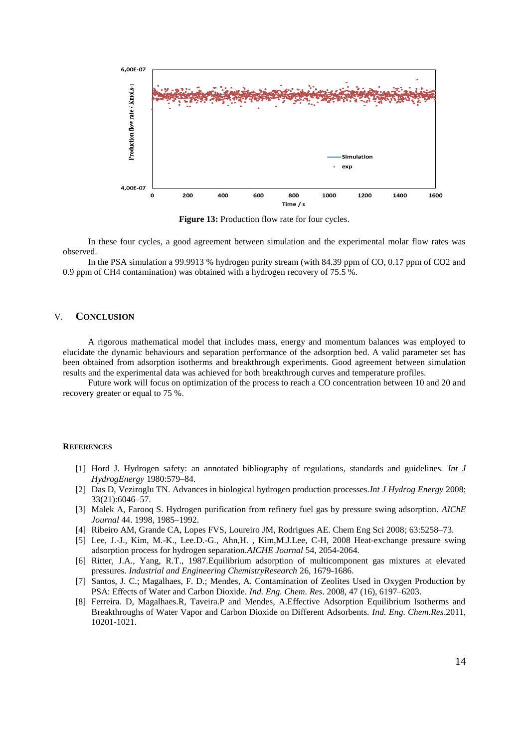

Figure 13: Production flow rate for four cycles.

In these four cycles, a good agreement between simulation and the experimental molar flow rates was observed.

In the PSA simulation a 99.9913 % hydrogen purity stream (with 84.39 ppm of CO, 0.17 ppm of CO2 and 0.9 ppm of CH4 contamination) was obtained with a hydrogen recovery of 75.5 %.

### V. **CONCLUSION**

A rigorous mathematical model that includes mass, energy and momentum balances was employed to elucidate the dynamic behaviours and separation performance of the adsorption bed. A valid parameter set has been obtained from adsorption isotherms and breakthrough experiments. Good agreement between simulation results and the experimental data was achieved for both breakthrough curves and temperature profiles.

Future work will focus on optimization of the process to reach a CO concentration between 10 and 20 and recovery greater or equal to 75 %.

#### **REFERENCES**

- [1] Hord J. Hydrogen safety: an annotated bibliography of regulations, standards and guidelines. *Int J HydrogEnergy* 1980:579–84.
- [2] Das D, Veziroglu TN. Advances in biological hydrogen production processes.*Int J Hydrog Energy* 2008; 33(21):6046–57.
- [3] Malek A, Farooq S. Hydrogen purification from refinery fuel gas by pressure swing adsorption. *AIChE Journal* 44. 1998, 1985–1992.
- [4] Ribeiro AM, Grande CA, Lopes FVS, Loureiro JM, Rodrigues AE. Chem Eng Sci 2008; 63:5258–73.
- [5] Lee, J.-J., Kim, M.-K., Lee.D.-G., Ahn,H. , Kim,M.J.Lee, C-H, 2008 Heat-exchange pressure swing adsorption process for hydrogen separation.*AICHE Journal* 54, 2054-2064.
- [6] Ritter, J.A., Yang, R.T., 1987.Equilibrium adsorption of multicomponent gas mixtures at elevated pressures. *Industrial and Engineering ChemistryResearch* 26, 1679-1686.
- [7] Santos, J. C.; Magalhaes, F. D.; Mendes, A. Contamination of Zeolites Used in Oxygen Production by PSA: Effects of Water and Carbon Dioxide. *Ind. Eng. Chem. Res*. 2008, 47 (16), 6197–6203.
- [8] Ferreira. D, Magalhaes.R, Taveira.P and Mendes, A.Effective Adsorption Equilibrium Isotherms and Breakthroughs of Water Vapor and Carbon Dioxide on Different Adsorbents. *Ind. Eng. Chem.Res*.2011, 10201-1021.